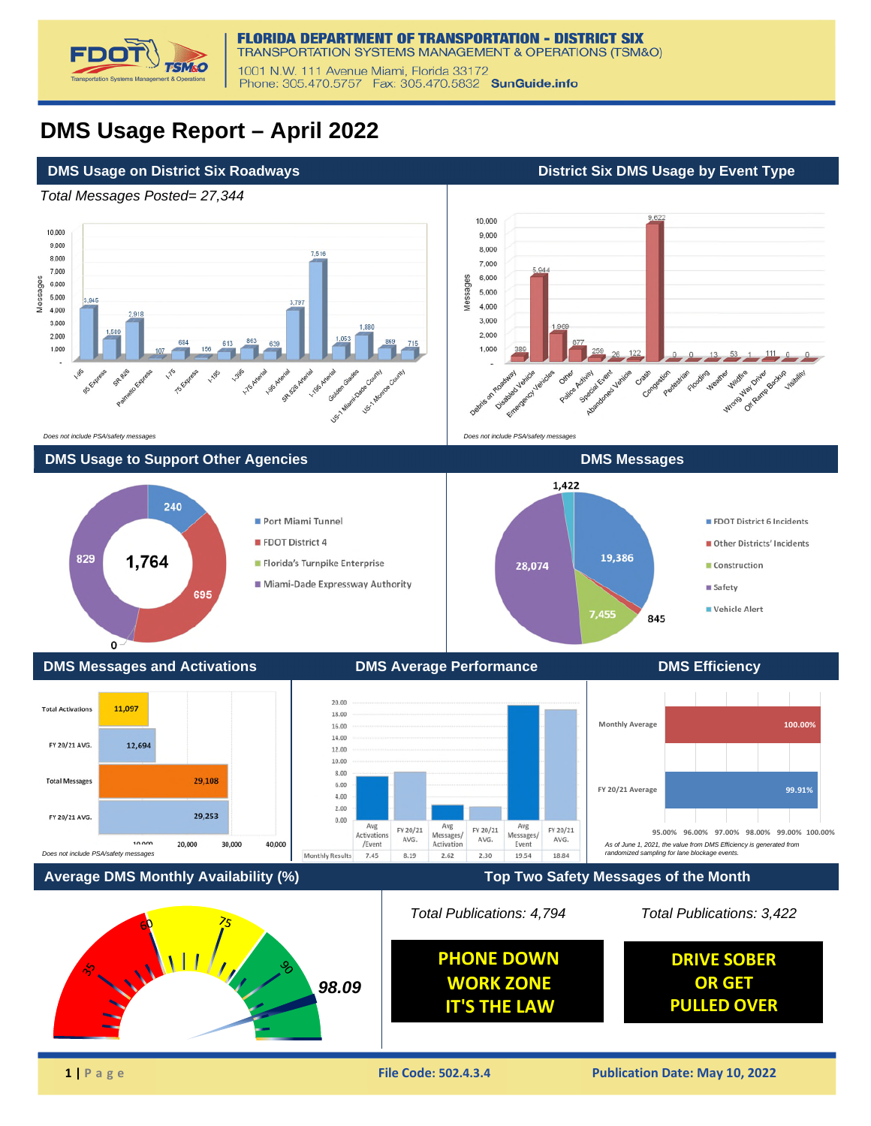

# **DMS Usage Report – April 2022**

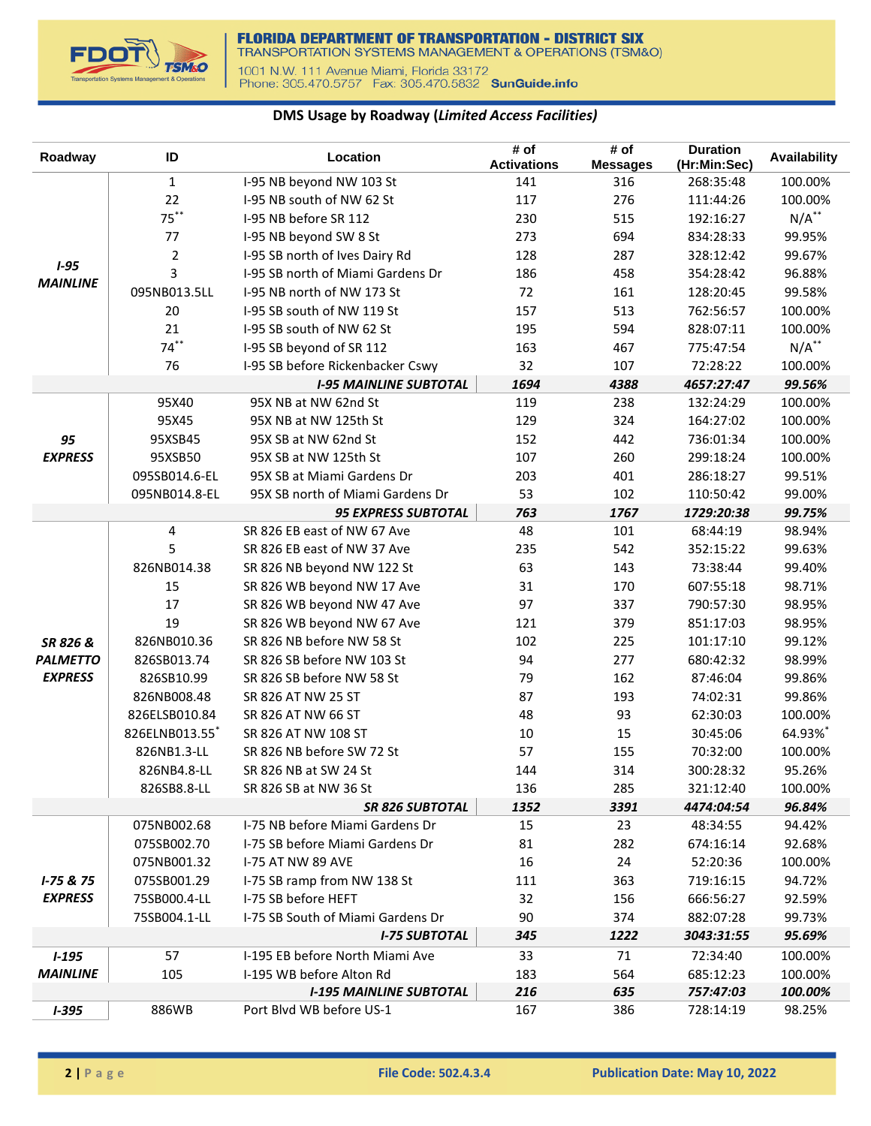

## **DMS Usage by Roadway (***Limited Access Facilities)*

| $\mathbf{1}$<br>I-95 NB beyond NW 103 St<br>141<br>100.00%<br>316<br>268:35:48<br>22<br>276<br>I-95 NB south of NW 62 St<br>117<br>111:44:26<br>100.00%<br>$75***$<br>$N/A$ **<br>I-95 NB before SR 112<br>230<br>515<br>192:16:27<br>273<br>694<br>77<br>I-95 NB beyond SW 8 St<br>99.95%<br>834:28:33<br>$\overline{2}$<br>287<br>I-95 SB north of Ives Dairy Rd<br>128<br>328:12:42<br>99.67%<br>$1 - 95$<br>3<br>I-95 SB north of Miami Gardens Dr<br>458<br>186<br>354:28:42<br>96.88%<br><b>MAINLINE</b><br>095NB013.5LL<br>I-95 NB north of NW 173 St<br>72<br>161<br>128:20:45<br>99.58%<br>20<br>157<br>513<br>I-95 SB south of NW 119 St<br>762:56:57<br>100.00%<br>21<br>195<br>594<br>I-95 SB south of NW 62 St<br>828:07:11<br>100.00%<br>$74***$<br>$N/A$ **<br>163<br>467<br>I-95 SB beyond of SR 112<br>775:47:54<br>32<br>107<br>76<br>I-95 SB before Rickenbacker Cswy<br>72:28:22<br>100.00%<br>1694<br>4388<br>4657:27:47<br>99.56%<br><b>I-95 MAINLINE SUBTOTAL</b> | Roadway | ID    | Location             | # of<br><b>Activations</b> | # of            | <b>Duration</b><br>(Hr:Min:Sec) | Availability |
|------------------------------------------------------------------------------------------------------------------------------------------------------------------------------------------------------------------------------------------------------------------------------------------------------------------------------------------------------------------------------------------------------------------------------------------------------------------------------------------------------------------------------------------------------------------------------------------------------------------------------------------------------------------------------------------------------------------------------------------------------------------------------------------------------------------------------------------------------------------------------------------------------------------------------------------------------------------------------------------|---------|-------|----------------------|----------------------------|-----------------|---------------------------------|--------------|
|                                                                                                                                                                                                                                                                                                                                                                                                                                                                                                                                                                                                                                                                                                                                                                                                                                                                                                                                                                                          |         |       |                      |                            | <b>Messages</b> |                                 |              |
|                                                                                                                                                                                                                                                                                                                                                                                                                                                                                                                                                                                                                                                                                                                                                                                                                                                                                                                                                                                          |         |       |                      |                            |                 |                                 |              |
|                                                                                                                                                                                                                                                                                                                                                                                                                                                                                                                                                                                                                                                                                                                                                                                                                                                                                                                                                                                          |         |       |                      |                            |                 |                                 |              |
|                                                                                                                                                                                                                                                                                                                                                                                                                                                                                                                                                                                                                                                                                                                                                                                                                                                                                                                                                                                          |         |       |                      |                            |                 |                                 |              |
|                                                                                                                                                                                                                                                                                                                                                                                                                                                                                                                                                                                                                                                                                                                                                                                                                                                                                                                                                                                          |         |       |                      |                            |                 |                                 |              |
|                                                                                                                                                                                                                                                                                                                                                                                                                                                                                                                                                                                                                                                                                                                                                                                                                                                                                                                                                                                          |         |       |                      |                            |                 |                                 |              |
|                                                                                                                                                                                                                                                                                                                                                                                                                                                                                                                                                                                                                                                                                                                                                                                                                                                                                                                                                                                          |         |       |                      |                            |                 |                                 |              |
|                                                                                                                                                                                                                                                                                                                                                                                                                                                                                                                                                                                                                                                                                                                                                                                                                                                                                                                                                                                          |         |       |                      |                            |                 |                                 |              |
|                                                                                                                                                                                                                                                                                                                                                                                                                                                                                                                                                                                                                                                                                                                                                                                                                                                                                                                                                                                          |         |       |                      |                            |                 |                                 |              |
|                                                                                                                                                                                                                                                                                                                                                                                                                                                                                                                                                                                                                                                                                                                                                                                                                                                                                                                                                                                          |         |       |                      |                            |                 |                                 |              |
|                                                                                                                                                                                                                                                                                                                                                                                                                                                                                                                                                                                                                                                                                                                                                                                                                                                                                                                                                                                          |         |       |                      |                            |                 |                                 |              |
|                                                                                                                                                                                                                                                                                                                                                                                                                                                                                                                                                                                                                                                                                                                                                                                                                                                                                                                                                                                          |         |       |                      |                            |                 |                                 |              |
|                                                                                                                                                                                                                                                                                                                                                                                                                                                                                                                                                                                                                                                                                                                                                                                                                                                                                                                                                                                          |         | 95X40 | 95X NB at NW 62nd St | 119                        | 238             | 132:24:29                       | 100.00%      |
| 129<br>324<br>95X45<br>95X NB at NW 125th St<br>164:27:02<br>100.00%                                                                                                                                                                                                                                                                                                                                                                                                                                                                                                                                                                                                                                                                                                                                                                                                                                                                                                                     |         |       |                      |                            |                 |                                 |              |
| 152<br>442<br>95XSB45<br>95X SB at NW 62nd St<br>736:01:34<br>100.00%<br>95                                                                                                                                                                                                                                                                                                                                                                                                                                                                                                                                                                                                                                                                                                                                                                                                                                                                                                              |         |       |                      |                            |                 |                                 |              |
| 107<br>260<br><b>EXPRESS</b><br>95XSB50<br>95X SB at NW 125th St<br>299:18:24<br>100.00%                                                                                                                                                                                                                                                                                                                                                                                                                                                                                                                                                                                                                                                                                                                                                                                                                                                                                                 |         |       |                      |                            |                 |                                 |              |
| 203<br>401<br>095SB014.6-EL<br>95X SB at Miami Gardens Dr<br>99.51%<br>286:18:27                                                                                                                                                                                                                                                                                                                                                                                                                                                                                                                                                                                                                                                                                                                                                                                                                                                                                                         |         |       |                      |                            |                 |                                 |              |
| 53<br>102<br>095NB014.8-EL<br>95X SB north of Miami Gardens Dr<br>110:50:42<br>99.00%                                                                                                                                                                                                                                                                                                                                                                                                                                                                                                                                                                                                                                                                                                                                                                                                                                                                                                    |         |       |                      |                            |                 |                                 |              |
| <b>95 EXPRESS SUBTOTAL</b><br>763<br>1767<br>1729:20:38<br>99.75%                                                                                                                                                                                                                                                                                                                                                                                                                                                                                                                                                                                                                                                                                                                                                                                                                                                                                                                        |         |       |                      |                            |                 |                                 |              |
| 48<br>101<br>4<br>SR 826 EB east of NW 67 Ave<br>68:44:19<br>98.94%                                                                                                                                                                                                                                                                                                                                                                                                                                                                                                                                                                                                                                                                                                                                                                                                                                                                                                                      |         |       |                      |                            |                 |                                 |              |
| 5<br>235<br>542<br>SR 826 EB east of NW 37 Ave<br>352:15:22<br>99.63%                                                                                                                                                                                                                                                                                                                                                                                                                                                                                                                                                                                                                                                                                                                                                                                                                                                                                                                    |         |       |                      |                            |                 |                                 |              |
| 63<br>826NB014.38<br>SR 826 NB beyond NW 122 St<br>143<br>73:38:44<br>99.40%                                                                                                                                                                                                                                                                                                                                                                                                                                                                                                                                                                                                                                                                                                                                                                                                                                                                                                             |         |       |                      |                            |                 |                                 |              |
| 15<br>31<br>170<br>98.71%<br>SR 826 WB beyond NW 17 Ave<br>607:55:18                                                                                                                                                                                                                                                                                                                                                                                                                                                                                                                                                                                                                                                                                                                                                                                                                                                                                                                     |         |       |                      |                            |                 |                                 |              |
| 17<br>97<br>SR 826 WB beyond NW 47 Ave<br>337<br>790:57:30<br>98.95%                                                                                                                                                                                                                                                                                                                                                                                                                                                                                                                                                                                                                                                                                                                                                                                                                                                                                                                     |         |       |                      |                            |                 |                                 |              |
| 19<br>SR 826 WB beyond NW 67 Ave<br>121<br>379<br>851:17:03<br>98.95%                                                                                                                                                                                                                                                                                                                                                                                                                                                                                                                                                                                                                                                                                                                                                                                                                                                                                                                    |         |       |                      |                            |                 |                                 |              |
| 826NB010.36<br>SR 826 NB before NW 58 St<br>102<br>225<br>101:17:10<br>99.12%<br>SR 826 &                                                                                                                                                                                                                                                                                                                                                                                                                                                                                                                                                                                                                                                                                                                                                                                                                                                                                                |         |       |                      |                            |                 |                                 |              |
| 94<br>277<br>826SB013.74<br>SR 826 SB before NW 103 St<br>680:42:32<br>98.99%<br><b>PALMETTO</b>                                                                                                                                                                                                                                                                                                                                                                                                                                                                                                                                                                                                                                                                                                                                                                                                                                                                                         |         |       |                      |                            |                 |                                 |              |
| <b>EXPRESS</b><br>79<br>162<br>826SB10.99<br>SR 826 SB before NW 58 St<br>87:46:04<br>99.86%                                                                                                                                                                                                                                                                                                                                                                                                                                                                                                                                                                                                                                                                                                                                                                                                                                                                                             |         |       |                      |                            |                 |                                 |              |
| 87<br>826NB008.48<br>SR 826 AT NW 25 ST<br>193<br>74:02:31<br>99.86%                                                                                                                                                                                                                                                                                                                                                                                                                                                                                                                                                                                                                                                                                                                                                                                                                                                                                                                     |         |       |                      |                            |                 |                                 |              |
| 48<br>93<br>826ELSB010.84<br>SR 826 AT NW 66 ST<br>62:30:03<br>100.00%                                                                                                                                                                                                                                                                                                                                                                                                                                                                                                                                                                                                                                                                                                                                                                                                                                                                                                                   |         |       |                      |                            |                 |                                 |              |
| 64.93%*<br>826ELNB013.55*<br>SR 826 AT NW 108 ST<br>10<br>15<br>30:45:06                                                                                                                                                                                                                                                                                                                                                                                                                                                                                                                                                                                                                                                                                                                                                                                                                                                                                                                 |         |       |                      |                            |                 |                                 |              |
| 57<br>826NB1.3-LL<br>SR 826 NB before SW 72 St<br>155<br>70:32:00<br>100.00%                                                                                                                                                                                                                                                                                                                                                                                                                                                                                                                                                                                                                                                                                                                                                                                                                                                                                                             |         |       |                      |                            |                 |                                 |              |
| 144<br>314<br>95.26%<br>826NB4.8-LL<br>SR 826 NB at SW 24 St<br>300:28:32                                                                                                                                                                                                                                                                                                                                                                                                                                                                                                                                                                                                                                                                                                                                                                                                                                                                                                                |         |       |                      |                            |                 |                                 |              |
| 826SB8.8-LL<br>SR 826 SB at NW 36 St<br>136<br>285<br>321:12:40<br>100.00%                                                                                                                                                                                                                                                                                                                                                                                                                                                                                                                                                                                                                                                                                                                                                                                                                                                                                                               |         |       |                      |                            |                 |                                 |              |
| 1352<br>3391<br>96.84%<br><b>SR 826 SUBTOTAL</b><br>4474:04:54<br>I-75 NB before Miami Gardens Dr<br>15<br>23<br>075NB002.68<br>48:34:55<br>94.42%                                                                                                                                                                                                                                                                                                                                                                                                                                                                                                                                                                                                                                                                                                                                                                                                                                       |         |       |                      |                            |                 |                                 |              |
| 075SB002.70<br>81<br>282<br>1-75 SB before Miami Gardens Dr<br>674:16:14<br>92.68%                                                                                                                                                                                                                                                                                                                                                                                                                                                                                                                                                                                                                                                                                                                                                                                                                                                                                                       |         |       |                      |                            |                 |                                 |              |
| 075NB001.32<br>16<br>24<br><b>I-75 AT NW 89 AVE</b><br>52:20:36<br>100.00%                                                                                                                                                                                                                                                                                                                                                                                                                                                                                                                                                                                                                                                                                                                                                                                                                                                                                                               |         |       |                      |                            |                 |                                 |              |
| 075SB001.29<br>I-75 SB ramp from NW 138 St<br><b>I-75 &amp; 75</b><br>111<br>363<br>719:16:15<br>94.72%                                                                                                                                                                                                                                                                                                                                                                                                                                                                                                                                                                                                                                                                                                                                                                                                                                                                                  |         |       |                      |                            |                 |                                 |              |
| <b>EXPRESS</b><br>I-75 SB before HEFT<br>32<br>156<br>75SB000.4-LL<br>666:56:27<br>92.59%                                                                                                                                                                                                                                                                                                                                                                                                                                                                                                                                                                                                                                                                                                                                                                                                                                                                                                |         |       |                      |                            |                 |                                 |              |
| I-75 SB South of Miami Gardens Dr<br>90<br>75SB004.1-LL<br>374<br>882:07:28<br>99.73%                                                                                                                                                                                                                                                                                                                                                                                                                                                                                                                                                                                                                                                                                                                                                                                                                                                                                                    |         |       |                      |                            |                 |                                 |              |
| <b>I-75 SUBTOTAL</b><br>345<br>1222<br>95.69%<br>3043:31:55                                                                                                                                                                                                                                                                                                                                                                                                                                                                                                                                                                                                                                                                                                                                                                                                                                                                                                                              |         |       |                      |                            |                 |                                 |              |
| 57<br>I-195 EB before North Miami Ave<br>33<br>71<br>72:34:40<br>100.00%<br>$1 - 195$                                                                                                                                                                                                                                                                                                                                                                                                                                                                                                                                                                                                                                                                                                                                                                                                                                                                                                    |         |       |                      |                            |                 |                                 |              |
| <b>MAINLINE</b><br>105<br>I-195 WB before Alton Rd<br>183<br>564<br>685:12:23<br>100.00%                                                                                                                                                                                                                                                                                                                                                                                                                                                                                                                                                                                                                                                                                                                                                                                                                                                                                                 |         |       |                      |                            |                 |                                 |              |
| 216<br><b>I-195 MAINLINE SUBTOTAL</b><br>635<br>757:47:03<br>100.00%                                                                                                                                                                                                                                                                                                                                                                                                                                                                                                                                                                                                                                                                                                                                                                                                                                                                                                                     |         |       |                      |                            |                 |                                 |              |
| Port Blvd WB before US-1<br>167<br>886WB<br>386<br>728:14:19<br>98.25%<br>$1 - 395$                                                                                                                                                                                                                                                                                                                                                                                                                                                                                                                                                                                                                                                                                                                                                                                                                                                                                                      |         |       |                      |                            |                 |                                 |              |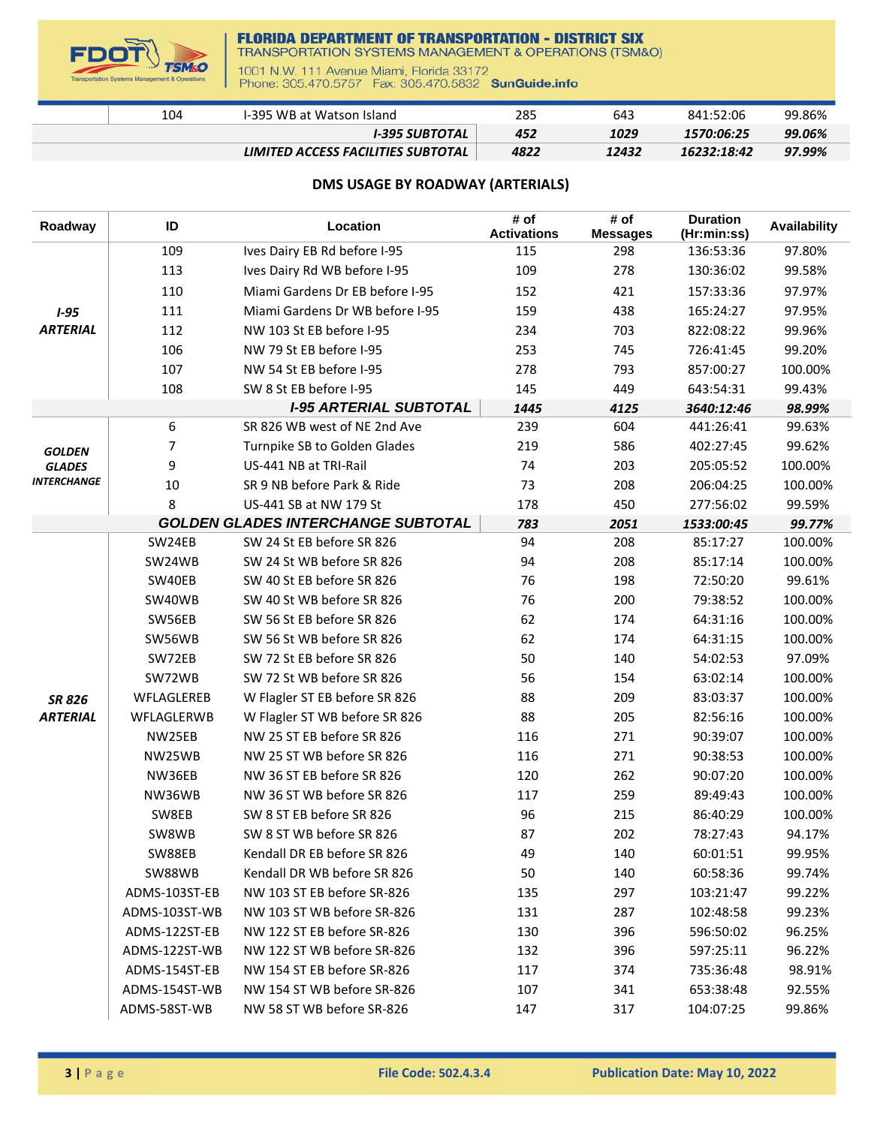## **FLORIDA DEPARTMENT OF TRANSPORTATION - DISTRICT SIX**



# TRANSPORTATION SYSTEMS MANAGEMENT & OPERATIONS (TSM&O)

1001 N.W. 111 Avenue Miami, Florida 33172<br>Phone: 305.470.5757 Fax: 305.470.5832 SunGuide.info

| 104 | I-395 WB at Watson Island          | 285  | 643   | 841:52:06   | 99.86% |
|-----|------------------------------------|------|-------|-------------|--------|
|     | <b>I-395 SUBTOTAL</b>              | 452  | 1029  | 1570:06:25  | 99.06% |
|     | LIMITED ACCESS FACILITIES SUBTOTAL | 4822 | 12432 | 16232:18:42 | 97.99% |

## **DMS USAGE BY ROADWAY (ARTERIALS)**

| Roadway            | ID                             | Location                                              | # of<br><b>Activations</b> | # of<br><b>Messages</b> | <b>Duration</b><br>(Hr:min:ss) | Availability      |
|--------------------|--------------------------------|-------------------------------------------------------|----------------------------|-------------------------|--------------------------------|-------------------|
|                    | 109                            | Ives Dairy EB Rd before I-95                          | 115                        | 298                     | 136:53:36                      | 97.80%            |
|                    | 113                            | Ives Dairy Rd WB before I-95                          | 109                        | 278                     | 130:36:02                      | 99.58%            |
|                    | 110                            | Miami Gardens Dr EB before I-95                       | 152                        | 421                     | 157:33:36                      | 97.97%            |
| $1 - 95$           | 111                            | Miami Gardens Dr WB before I-95                       | 159                        | 438                     | 165:24:27                      | 97.95%            |
| <b>ARTERIAL</b>    | 112                            | NW 103 St EB before I-95                              | 234                        | 703                     | 822:08:22                      | 99.96%            |
|                    | 106                            | NW 79 St EB before I-95                               | 253                        | 745                     | 726:41:45                      | 99.20%            |
|                    | 107                            | NW 54 St EB before I-95                               | 278                        | 793                     | 857:00:27                      | 100.00%           |
|                    | 108                            | SW 8 St EB before I-95                                | 145                        | 449                     | 643:54:31                      | 99.43%            |
|                    |                                | <b>I-95 ARTERIAL SUBTOTAL</b>                         | 1445                       | 4125                    | 3640:12:46                     | 98.99%            |
|                    | 6                              | SR 826 WB west of NE 2nd Ave                          | 239                        | 604                     | 441:26:41                      | 99.63%            |
| <b>GOLDEN</b>      | $\overline{7}$                 | Turnpike SB to Golden Glades                          | 219                        | 586                     | 402:27:45                      | 99.62%            |
| <b>GLADES</b>      | 9                              | US-441 NB at TRI-Rail                                 | 74                         | 203                     | 205:05:52                      | 100.00%           |
| <b>INTERCHANGE</b> | 10                             | SR 9 NB before Park & Ride                            | 73                         | 208                     | 206:04:25                      | 100.00%           |
|                    | 8                              | US-441 SB at NW 179 St                                | 178                        | 450                     | 277:56:02                      | 99.59%            |
|                    |                                | <b>GOLDEN GLADES INTERCHANGE SUBTOTAL</b>             | 783                        | 2051                    | 1533:00:45                     | 99.77%            |
|                    | SW24EB                         | SW 24 St EB before SR 826                             | 94                         | 208                     | 85:17:27                       | 100.00%           |
|                    | SW24WB                         | SW 24 St WB before SR 826                             | 94                         | 208                     | 85:17:14                       | 100.00%           |
|                    | SW40EB                         | SW 40 St EB before SR 826                             | 76                         | 198                     | 72:50:20                       | 99.61%            |
|                    | SW40WB                         | SW 40 St WB before SR 826                             | 76                         | 200                     | 79:38:52                       | 100.00%           |
|                    | SW56EB                         | SW 56 St EB before SR 826                             | 62                         | 174                     | 64:31:16                       | 100.00%           |
|                    | SW56WB                         | SW 56 St WB before SR 826                             | 62                         | 174                     | 64:31:15                       | 100.00%           |
|                    | SW72EB                         | SW 72 St EB before SR 826                             | 50                         | 140                     | 54:02:53                       | 97.09%            |
|                    | SW72WB                         | SW 72 St WB before SR 826                             | 56                         | 154                     | 63:02:14                       | 100.00%           |
| <b>SR 826</b>      | WFLAGLEREB                     | W Flagler ST EB before SR 826                         | 88                         | 209                     | 83:03:37                       | 100.00%           |
| <b>ARTERIAL</b>    | WFLAGLERWB                     | W Flagler ST WB before SR 826                         | 88                         | 205                     | 82:56:16                       | 100.00%           |
|                    | NW25EB                         | NW 25 ST EB before SR 826                             | 116                        | 271                     | 90:39:07                       | 100.00%           |
|                    | NW25WB                         | NW 25 ST WB before SR 826                             | 116                        | 271                     | 90:38:53                       | 100.00%           |
|                    | NW36EB                         | NW 36 ST EB before SR 826                             | 120                        | 262                     | 90:07:20                       | 100.00%           |
|                    | NW36WB<br>SW8EB                | NW 36 ST WB before SR 826<br>SW 8 ST EB before SR 826 | 117<br>96                  | 259<br>215              | 89:49:43                       | 100.00%           |
|                    | SW8WB                          | SW 8 ST WB before SR 826                              | 87                         | 202                     | 86:40:29<br>78:27:43           | 100.00%<br>94.17% |
|                    | SW88EB                         | Kendall DR EB before SR 826                           | 49                         | 140                     | 60:01:51                       | 99.95%            |
|                    | SW88WB                         | Kendall DR WB before SR 826                           | 50                         | 140                     | 60:58:36                       | 99.74%            |
|                    |                                | NW 103 ST EB before SR-826                            |                            |                         |                                |                   |
|                    | ADMS-103ST-EB<br>ADMS-103ST-WB | NW 103 ST WB before SR-826                            | 135<br>131                 | 297<br>287              | 103:21:47<br>102:48:58         | 99.22%<br>99.23%  |
|                    | ADMS-122ST-EB                  | NW 122 ST EB before SR-826                            | 130                        | 396                     | 596:50:02                      | 96.25%            |
|                    | ADMS-122ST-WB                  | NW 122 ST WB before SR-826                            | 132                        | 396                     | 597:25:11                      | 96.22%            |
|                    | ADMS-154ST-EB                  | NW 154 ST EB before SR-826                            | 117                        | 374                     | 735:36:48                      | 98.91%            |
|                    | ADMS-154ST-WB                  | NW 154 ST WB before SR-826                            | 107                        | 341                     | 653:38:48                      | 92.55%            |
|                    | ADMS-58ST-WB                   | NW 58 ST WB before SR-826                             | 147                        | 317                     | 104:07:25                      | 99.86%            |
|                    |                                |                                                       |                            |                         |                                |                   |